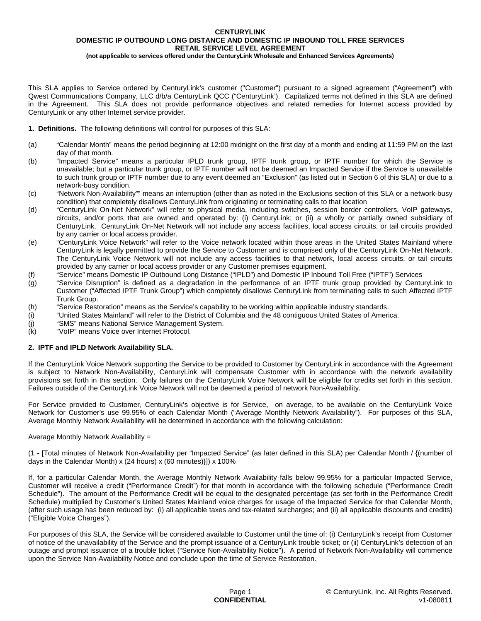# **CENTURYLINK DOMESTIC IP OUTBOUND LONG DISTANCE AND DOMESTIC IP INBOUND TOLL FREE SERVICES RETAIL SERVICE LEVEL AGREEMENT**

**(not applicable to services offered under the CenturyLink Wholesale and Enhanced Services Agreements)**

This SLA applies to Service ordered by CenturyLink's customer ("Customer") pursuant to a signed agreement ("Agreement") with Qwest Communications Company, LLC d/b/a CenturyLink QCC ("CenturyLink'). Capitalized terms not defined in this SLA are defined in the Agreement. This SLA does not provide performance objectives and related remedies for Internet access provided by CenturyLink or any other Internet service provider.

- **1. Definitions.** The following definitions will control for purposes of this SLA:
- (a) "Calendar Month" means the period beginning at 12:00 midnight on the first day of a month and ending at 11:59 PM on the last day of that month.
- (b) "Impacted Service" means a particular IPLD trunk group, IPTF trunk group, or IPTF number for which the Service is unavailable; but a particular trunk group, or IPTF number will not be deemed an Impacted Service if the Service is unavailable to such trunk group or IPTF number due to any event deemed an "Exclusion" (as listed out in Section 6 of this SLA) or due to a network-busy condition.
- (c) "Network Non-Availability"" means an interruption (other than as noted in the Exclusions section of this SLA or a network-busy condition) that completely disallows CenturyLink from originating or terminating calls to that location
- (d) "CenturyLink On-Net Network" will refer to physical media, including switches, session border controllers, VoIP gateways, circuits, and/or ports that are owned and operated by: (i) CenturyLink; or (ii) a wholly or partially owned subsidiary of CenturyLink. CenturyLink On-Net Network will not include any access facilities, local access circuits, or tail circuits provided by any carrier or local access provider.
- (e) "CenturyLink Voice Network" will refer to the Voice network located within those areas in the United States Mainland where CenturyLink is legally permitted to provide the Service to Customer and is comprised only of the CenturyLink On-Net Network. The CenturyLink Voice Network will not include any access facilities to that network, local access circuits, or tail circuits provided by any carrier or local access provider or any Customer premises equipment.
- (f) "Service" means Domestic IP Outbound Long Distance ("IPLD") and Domestic IP Inbound Toll Free ("IPTF") Services
- (g) "Service Disruption" is defined as a degradation in the performance of an IPTF trunk group provided by CenturyLink to Customer ("Affected IPTF Trunk Group") which completely disallows CenturyLink from terminating calls to such Affected IPTF Trunk Group.
- (h) "Service Restoration" means as the Service's capability to be working within applicable industry standards.
- (i) "United States Mainland" will refer to the District of Columbia and the 48 contiguous United States of America.
- (j) "SMS" means National Service Management System.
- (k) "VoIP" means Voice over Internet Protocol.

# **2. IPTF and IPLD Network Availability SLA.**

If the CenturyLink Voice Network supporting the Service to be provided to Customer by CenturyLink in accordance with the Agreement is subject to Network Non-Availability, CenturyLink will compensate Customer with in accordance with the network availability provisions set forth in this section. Only failures on the CenturyLink Voice Network will be eligible for credits set forth in this section. Failures outside of the CenturyLink Voice Network will not be deemed a period of network Non-Availability.

For Service provided to Customer, CenturyLink's objective is for Service, on average, to be available on the CenturyLink Voice Network for Customer's use 99.95% of each Calendar Month ("Average Monthly Network Availability"). For purposes of this SLA, Average Monthly Network Availability will be determined in accordance with the following calculation:

Average Monthly Network Availability =

(1 - [Total minutes of Network Non-Availability per "Impacted Service" (as later defined in this SLA) per Calendar Month / {(number of days in the Calendar Month) x (24 hours) x (60 minutes)}]) x 100%

If, for a particular Calendar Month, the Average Monthly Network Availability falls below 99.95% for a particular Impacted Service, Customer will receive a credit ("Performance Credit") for that month in accordance with the following schedule ("Performance Credit Schedule"). The amount of the Performance Credit will be equal to the designated percentage (as set forth in the Performance Credit Schedule) multiplied by Customer's United States Mainland voice charges for usage of the Impacted Service for that Calendar Month, (after such usage has been reduced by: (i) all applicable taxes and tax-related surcharges; and (ii) all applicable discounts and credits) ("Eligible Voice Charges").

For purposes of this SLA, the Service will be considered available to Customer until the time of: (i) CenturyLink's receipt from Customer of notice of the unavailability of the Service and the prompt issuance of a CenturyLink trouble ticket; or (ii) CenturyLink's detection of an outage and prompt issuance of a trouble ticket ("Service Non-Availability Notice"). A period of Network Non-Availability will commence upon the Service Non-Availability Notice and conclude upon the time of Service Restoration.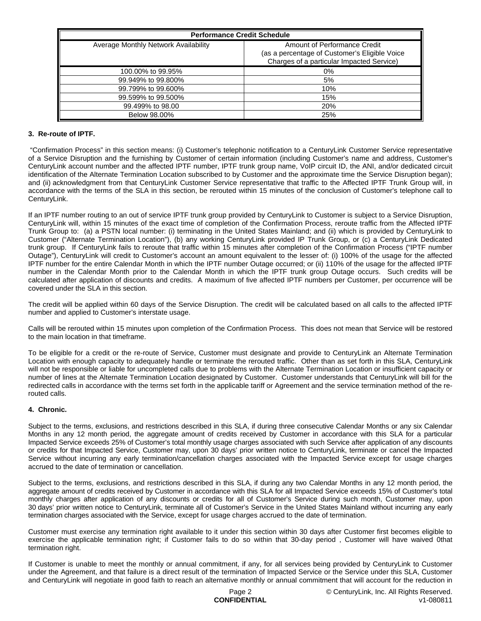| <b>Performance Credit Schedule</b>   |                                                                                                                            |
|--------------------------------------|----------------------------------------------------------------------------------------------------------------------------|
| Average Monthly Network Availability | Amount of Performance Credit<br>(as a percentage of Customer's Eligible Voice<br>Charges of a particular Impacted Service) |
| 100,00% to 99.95%                    | 0%                                                                                                                         |
| 99.949% to 99.800%                   | 5%                                                                                                                         |
| 99.799% to 99.600%                   | 10%                                                                                                                        |
| 99.599% to 99.500%                   | 15%                                                                                                                        |
| 99.499% to 98.00                     | 20%                                                                                                                        |
| Below 98,00%                         | 25%                                                                                                                        |

### **3. Re-route of IPTF.**

"Confirmation Process" in this section means: (i) Customer's telephonic notification to a CenturyLink Customer Service representative of a Service Disruption and the furnishing by Customer of certain information (including Customer's name and address, Customer's CenturyLink account number and the affected IPTF number, IPTF trunk group name, VoIP circuit ID, the ANI, and/or dedicated circuit identification of the Alternate Termination Location subscribed to by Customer and the approximate time the Service Disruption began); and (ii) acknowledgment from that CenturyLink Customer Service representative that traffic to the Affected IPTF Trunk Group will, in accordance with the terms of the SLA in this section, be rerouted within 15 minutes of the conclusion of Customer's telephone call to CenturyLink.

If an IPTF number routing to an out of service IPTF trunk group provided by CenturyLink to Customer is subject to a Service Disruption, CenturyLink will, within 15 minutes of the exact time of completion of the Confirmation Process, reroute traffic from the Affected IPTF Trunk Group to: (a) a PSTN local number: (i) terminating in the United States Mainland; and (ii) which is provided by CenturyLink to Customer ("Alternate Termination Location"), (b) any working CenturyLink provided IP Trunk Group, or (c) a CenturyLink Dedicated trunk group. If CenturyLink fails to reroute that traffic within 15 minutes after completion of the Confirmation Process ("IPTF number Outage"), CenturyLink will credit to Customer's account an amount equivalent to the lesser of: (i) 100% of the usage for the affected IPTF number for the entire Calendar Month in which the IPTF number Outage occurred; or (ii) 110% of the usage for the affected IPTF number in the Calendar Month prior to the Calendar Month in which the IPTF trunk group Outage occurs. Such credits will be calculated after application of discounts and credits. A maximum of five affected IPTF numbers per Customer, per occurrence will be covered under the SLA in this section.

The credit will be applied within 60 days of the Service Disruption. The credit will be calculated based on all calls to the affected IPTF number and applied to Customer's interstate usage.

Calls will be rerouted within 15 minutes upon completion of the Confirmation Process. This does not mean that Service will be restored to the main location in that timeframe.

To be eligible for a credit or the re-route of Service, Customer must designate and provide to CenturyLink an Alternate Termination Location with enough capacity to adequately handle or terminate the rerouted traffic. Other than as set forth in this SLA, CenturyLink will not be responsible or liable for uncompleted calls due to problems with the Alternate Termination Location or insufficient capacity or number of lines at the Alternate Termination Location designated by Customer. Customer understands that CenturyLink will bill for the redirected calls in accordance with the terms set forth in the applicable tariff or Agreement and the service termination method of the rerouted calls.

#### **4. Chronic.**

Subject to the terms, exclusions, and restrictions described in this SLA, if during three consecutive Calendar Months or any six Calendar Months in any 12 month period, the aggregate amount of credits received by Customer in accordance with this SLA for a particular Impacted Service exceeds 25% of Customer's total monthly usage charges associated with such Service after application of any discounts or credits for that Impacted Service, Customer may, upon 30 days' prior written notice to CenturyLink, terminate or cancel the Impacted Service without incurring any early termination/cancellation charges associated with the Impacted Service except for usage charges accrued to the date of termination or cancellation.

Subject to the terms, exclusions, and restrictions described in this SLA, if during any two Calendar Months in any 12 month period, the aggregate amount of credits received by Customer in accordance with this SLA for all Impacted Service exceeds 15% of Customer's total monthly charges after application of any discounts or credits for all of Customer's Service during such month, Customer may, upon 30 days' prior written notice to CenturyLink, terminate all of Customer's Service in the United States Mainland without incurring any early termination charges associated with the Service, except for usage charges accrued to the date of termination.

Customer must exercise any termination right available to it under this section within 30 days after Customer first becomes eligible to exercise the applicable termination right; if Customer fails to do so within that 30-day period , Customer will have waived 0that termination right.

If Customer is unable to meet the monthly or annual commitment, if any, for all services being provided by CenturyLink to Customer under the Agreement, and that failure is a direct result of the termination of Impacted Service or the Service under this SLA, Customer and CenturyLink will negotiate in good faith to reach an alternative monthly or annual commitment that will account for the reduction in